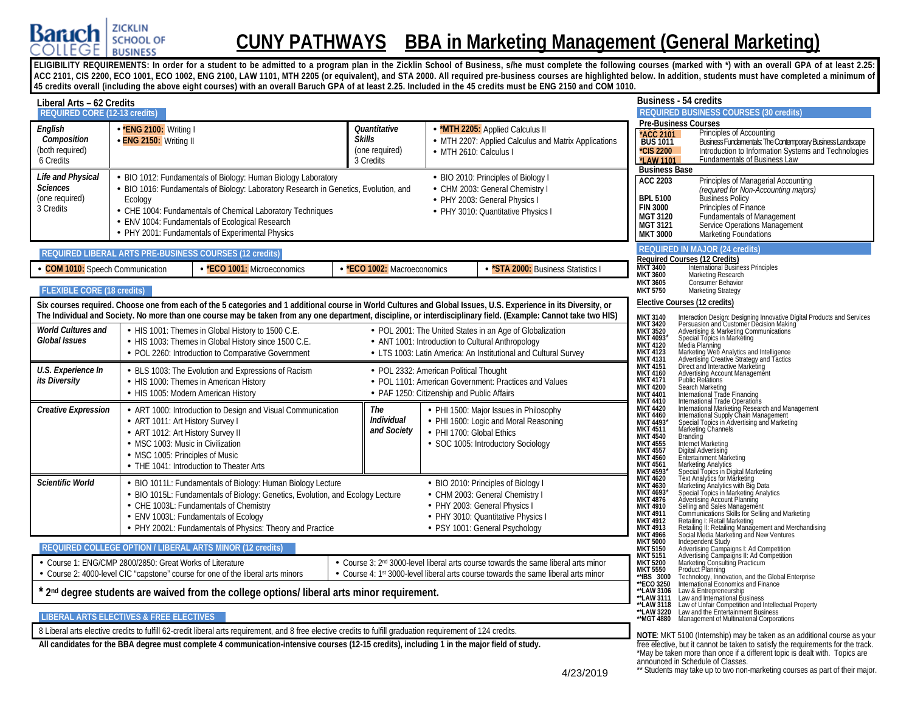

# **CUNY PATHWAYS BBA in Marketing Management (General Marketing)**

ELIGIBILITY REQUIREMENTS: In order for a student to be admitted to a program plan in the Zicklin School of Business, s/he must complete the following courses (marked with \*) with an overall GPA of at least 2.25: **ACC 2101, CIS 2200, ECO 1001, ECO 1002, ENG 2100, LAW 1101, MTH 2205 (or equivalent), and STA 2000. All required pre-business courses are highlighted below. In addition, students must have completed a minimum of 45 credits overall (including the above eight courses) with an overall Baruch GPA of at least 2.25. Included in the 45 credits must be ENG 2150 and COM 1010.**

| Liberal Arts - 62 Credits                                           |                                                                                                                                               |                                                                                                                                                                                                                                                                                                                  |                                                                                      |                           |                                                                                                                                                                                    |                                                                                                                                                                             | Business - 54 credits                                                                                                                                                                                                                                                                                                                                                                                                                                    |
|---------------------------------------------------------------------|-----------------------------------------------------------------------------------------------------------------------------------------------|------------------------------------------------------------------------------------------------------------------------------------------------------------------------------------------------------------------------------------------------------------------------------------------------------------------|--------------------------------------------------------------------------------------|---------------------------|------------------------------------------------------------------------------------------------------------------------------------------------------------------------------------|-----------------------------------------------------------------------------------------------------------------------------------------------------------------------------|----------------------------------------------------------------------------------------------------------------------------------------------------------------------------------------------------------------------------------------------------------------------------------------------------------------------------------------------------------------------------------------------------------------------------------------------------------|
| <b>REQUIRED CORE (12-13 credits)</b>                                |                                                                                                                                               |                                                                                                                                                                                                                                                                                                                  |                                                                                      |                           |                                                                                                                                                                                    |                                                                                                                                                                             | <b>REQUIRED BUSINESS COURSES (30 credits)</b>                                                                                                                                                                                                                                                                                                                                                                                                            |
| English<br>Composition<br>(both required)<br>6 Credits              | *ENG 2100: Writing I<br>- ENG 2150: Writing II                                                                                                |                                                                                                                                                                                                                                                                                                                  | Quantitative<br><b>Skills</b><br>(one required)<br>3 Credits                         | • MTH 2610: Calculus I    | <b>MTH 2205:</b> Applied Calculus II<br>- MTH 2207: Applied Calculus and Matrix Applications                                                                                       | <b>ACC 2101</b><br>BUS 1011<br>*CIS 2200<br>*LAW 1101<br><b>Business Base</b>                                                                                               | <b>Pre-Business Courses</b><br>Principles of Accounting<br>Publishess Fundamentals: The Contemporary Business Landscape<br>Introduction to Information Systems and Technologies<br>Fundamentals of Business Law                                                                                                                                                                                                                                          |
| Life and Physical<br><b>Sciences</b><br>(one required)<br>3 Credits | Ecology                                                                                                                                       | BIO 1012: Fundamentals of Biology: Human Biology Laboratory<br>BIO 1016: Fundamentals of Biology: Laboratory Research in Genetics, Evolution, and<br>CHE 1004: Fundamentals of Chemical Laboratory Techniques<br>ENV 1004: Fundamentals of Ecological Research<br>PHY 2001: Fundamentals of Experimental Physics |                                                                                      |                           | - BIO 2010: Principles of Biology I<br>- CHM 2003: General Chemistry I<br>- PHY 2003: General Physics I<br>- PHY 3010: Quantitative Physics I                                      | <b>ACC 2203</b><br><b>BPL 5100</b><br><b>FIN 3000</b><br><b>MGT 3120</b><br><b>MGT 3121</b><br><b>MKT 3000</b>                                                              | Principles of Managerial Accounting<br>(required for Non-Accounting majors)<br>Business Policy<br>Principles of Finance<br><b>Fundamentals of Management</b><br>Service Operations Management<br>Marketing Foundations                                                                                                                                                                                                                                   |
|                                                                     |                                                                                                                                               | REQUIRED LIBERAL ARTS PRE-BUSINESS COURSES (12 credits)                                                                                                                                                                                                                                                          |                                                                                      |                           |                                                                                                                                                                                    |                                                                                                                                                                             | <b>REQUIRED IN MAJOR (24 credits)</b><br><b>Required Courses (12 Credits)</b>                                                                                                                                                                                                                                                                                                                                                                            |
| <b>COM 1010:</b> Speech Communication                               |                                                                                                                                               | *ECO 1001: Microeconomics                                                                                                                                                                                                                                                                                        | *ECO 1002: Macroeconomics                                                            |                           | *STA 2000: Business Statistics I                                                                                                                                                   | MKT 3400<br><b>MKT 3600</b>                                                                                                                                                 | <b>International Business Principles</b><br>Marketing Research                                                                                                                                                                                                                                                                                                                                                                                           |
| <b>FLEXIBLE CORE (18 credits)</b>                                   |                                                                                                                                               |                                                                                                                                                                                                                                                                                                                  |                                                                                      |                           |                                                                                                                                                                                    | <b>MKT 3605</b><br><b>MKT 5750</b>                                                                                                                                          | Consumer Behavior<br><b>Marketing Strategy</b>                                                                                                                                                                                                                                                                                                                                                                                                           |
|                                                                     |                                                                                                                                               | Six courses required. Choose one from each of the 5 categories and 1 additional course in World Cultures and Global Issues, U.S. Experience in its Diversity, or                                                                                                                                                 |                                                                                      |                           | The Individual and Society. No more than one course may be taken from any one department, discipline, or interdisciplinary field. (Example: Cannot take two HIS)                   | <b>MKT 3140</b>                                                                                                                                                             | Elective Courses (12 credits)<br>Interaction Design: Designing Innovative Digital Products and Services<br>Persuasion and Customer Decision Making                                                                                                                                                                                                                                                                                                       |
| <b>World Cultures and</b><br>Global Issues                          |                                                                                                                                               | - HIS 1001: Themes in Global History to 1500 C.E.<br>- HIS 1003: Themes in Global History since 1500 C.E.<br>- POL 2260: Introduction to Comparative Government                                                                                                                                                  |                                                                                      |                           | - POL 2001: The United States in an Age of Globalization<br>- ANT 1001: Introduction to Cultural Anthropology<br>- LTS 1003: Latin America: An Institutional and Cultural Survey   | <b>MKT 3420</b><br>MKT 3520<br><b>MKT 4120</b><br><b>MKT 4123</b><br><b>MKT 4131</b>                                                                                        | Advertising & Marketing Communications<br>Special Topics in Marketing                                                                                                                                                                                                                                                                                                                                                                                    |
| U.S. Experience In<br>its Diversity                                 |                                                                                                                                               | - BLS 1003: The Evolution and Expressions of Racism<br>- HIS 1000: Themes in American History<br>- HIS 1005: Modern American History                                                                                                                                                                             | - POL 2332: American Political Thought<br>- PAF 1250: Citizenship and Public Affairs |                           | · POL 1101: American Government: Practices and Values                                                                                                                              | <b>MKT 4151<br/>MKT 4160</b><br><b>MKT 4171</b><br><b>MKT 4200</b><br><b>MKT 4401</b><br><b>MKT 4410</b>                                                                    | Special Topics in Marketing<br>Marketing Web Analytics and Intelligence<br>Advertising Creative Strategy and Tactics<br>Direct and Interactive Marketing<br>Direct and Interactive Marketing<br>Advertising Account Management<br>Public R<br>Search Marketing<br>International Trade Financing                                                                                                                                                          |
| <b>Creative Expression</b>                                          | - ART 1011: Art History Survey I<br>- ART 1012: Art History Survey II<br>- MSC 1003: Music in Civilization<br>- MSC 1005: Principles of Music | - ART 1000: Introduction to Design and Visual Communication<br>- THE 1041: Introduction to Theater Arts                                                                                                                                                                                                          | The<br>Individual<br>and Society                                                     | - PHI 1700: Global Ethics | - PHI 1500: Major Issues in Philosophy<br>- PHI 1600: Logic and Moral Reasoning<br>· SOC 1005: Introductory Sociology                                                              | <b>MKT 4420</b><br><b>MKT 4460</b><br><b>MKT 4493</b><br><b>MKT 4511</b><br><b>MKT 4540</b><br>MKT 4555<br>MKT 4557<br><b>MKT 4560</b><br>MKT 4561<br>MKT 4593*<br>MKT 4620 | International Trade Entancing<br>International Trade Operations<br>International Marketing Research and Management<br>International Supply Chain Management<br>Special Topics in Advertising and Marketing<br>Marketing Channels<br><b>Branding</b><br>Internet Marketing<br>Digital Advertising<br>Entertainment Marketing<br>Marketing Analytics                                                                                                       |
| Scientific World                                                    |                                                                                                                                               | BIO 1011L: Fundamentals of Biology: Human Biology Lecture<br>- BIO 1015L: Fundamentals of Biology: Genetics, Evolution, and Ecology Lecture<br>- CHE 1003L: Fundamentals of Chemistry<br>- ENV 1003L: Fundamentals of Ecology<br>- PHY 2002L: Fundamentals of Physics: Theory and Practice                       |                                                                                      |                           | - BIO 2010: Principles of Biology I<br>- CHM 2003: General Chemistry I<br>· PHY 2003: General Physics I<br>- PHY 3010: Quantitative Physics I<br>· PSY 1001: General Psychology    | <b>MKT 4630</b><br>MKT 4693<br><b>MKT 4876</b><br><b>MKT 4910</b><br><b>MKT 4911</b><br><b>MKT 4912</b><br><b>MKT 4913</b><br><b>MKT 4966</b>                               | Special Topics in Digital Marketing<br>Text Analytics for Marketing<br>Marketing Analytics with Big Data<br><b>Special Topics in Marketing Analytics</b><br>Advertising Account Planning<br>Selling and Sales Management<br>Communications Skills for Selling and Marketing<br><b>Schilling I: Retail Marketing</b><br>Retailing II: Retail Marketing<br>Retailing II: Retailing Management and Merchandising<br>Social Media Marketing and New Ventures |
|                                                                     |                                                                                                                                               | REQUIRED COLLEGE OPTION / LIBERAL ARTS MINOR (12 credits)                                                                                                                                                                                                                                                        |                                                                                      |                           |                                                                                                                                                                                    | <b>MKT 5000<br/>MKT 5150</b>                                                                                                                                                | Independent Study                                                                                                                                                                                                                                                                                                                                                                                                                                        |
|                                                                     | Course 1: ENG/CMP 2800/2850: Great Works of Literature                                                                                        | Course 2: 4000-level CIC "capstone" course for one of the liberal arts minors                                                                                                                                                                                                                                    |                                                                                      |                           | • Course 3: 2 <sup>nd</sup> 3000-level liberal arts course towards the same liberal arts minor<br>Course 4: 1st 3000-level liberal arts course towards the same liberal arts minor | <b>MKT 5151</b><br><b>MKT 5200</b><br><b>MKT 5550</b><br>**IBS 3000                                                                                                         | Advertising Campaigns I: Ad Competition<br>Advertising Campaigns II: Ad Competition<br>Marketing Consulting Practicum<br>Product Planning<br>Technology, Innovation, and the Global Enterprise<br>International Economics and Finance                                                                                                                                                                                                                    |
|                                                                     |                                                                                                                                               | * 2 <sup>nd</sup> degree students are waived from the college options/liberal arts minor requirement.                                                                                                                                                                                                            |                                                                                      |                           |                                                                                                                                                                                    | **ECO 3250<br>**LAW 3106<br>**LAW 3118                                                                                                                                      | Law & Entrepreneurship<br>**LAW 3111 Law and International Business<br>Law of Unfair Competition and Intellectual Property                                                                                                                                                                                                                                                                                                                               |
|                                                                     | <b>LIBERAL ARTS ELECTIVES &amp; FREE ELECTIVES</b>                                                                                            |                                                                                                                                                                                                                                                                                                                  |                                                                                      |                           |                                                                                                                                                                                    | **LAW 3220                                                                                                                                                                  | Law and the Entertainment Business<br>** MGT 4880 Management of Multinational Corporations                                                                                                                                                                                                                                                                                                                                                               |
|                                                                     |                                                                                                                                               | 8 Liberal arts elective credits to fulfill 62-credit liberal arts requirement, and 8 free elective credits to fulfill graduation requirement of 124 credits.                                                                                                                                                     |                                                                                      |                           |                                                                                                                                                                                    |                                                                                                                                                                             | NOTE: MKT 5100 (Internship) may be taken as an additional course as your<br>free elective, but it cannot be taken to satisfy the requirements for the track.                                                                                                                                                                                                                                                                                             |
|                                                                     |                                                                                                                                               | All candidates for the BBA degree must complete 4 communication-intensive courses (12-15 credits), including 1 in the major field of study.                                                                                                                                                                      |                                                                                      |                           |                                                                                                                                                                                    |                                                                                                                                                                             | *May be taken more than once if a different topic is dealt with. Topics are                                                                                                                                                                                                                                                                                                                                                                              |

announced in Schedule of Classes.<br>\*\* Students may take up to two non-marketing courses as part of their major.